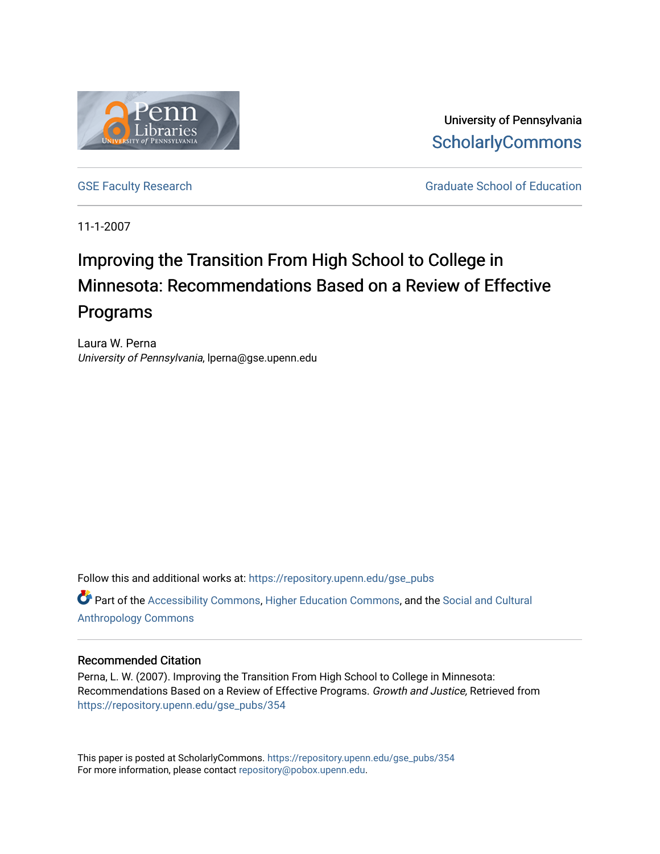

University of Pennsylvania **ScholarlyCommons** 

[GSE Faculty Research](https://repository.upenn.edu/gse_pubs) GSE Faculty Research Graduate School of Education

11-1-2007

# Improving the Transition From High School to College in Minnesota: Recommendations Based on a Review of Effective Programs

Laura W. Perna University of Pennsylvania, lperna@gse.upenn.edu

Follow this and additional works at: [https://repository.upenn.edu/gse\\_pubs](https://repository.upenn.edu/gse_pubs?utm_source=repository.upenn.edu%2Fgse_pubs%2F354&utm_medium=PDF&utm_campaign=PDFCoverPages)  Part of the [Accessibility Commons,](http://network.bepress.com/hgg/discipline/1318?utm_source=repository.upenn.edu%2Fgse_pubs%2F354&utm_medium=PDF&utm_campaign=PDFCoverPages) [Higher Education Commons,](http://network.bepress.com/hgg/discipline/1245?utm_source=repository.upenn.edu%2Fgse_pubs%2F354&utm_medium=PDF&utm_campaign=PDFCoverPages) and the [Social and Cultural](http://network.bepress.com/hgg/discipline/323?utm_source=repository.upenn.edu%2Fgse_pubs%2F354&utm_medium=PDF&utm_campaign=PDFCoverPages)  [Anthropology Commons](http://network.bepress.com/hgg/discipline/323?utm_source=repository.upenn.edu%2Fgse_pubs%2F354&utm_medium=PDF&utm_campaign=PDFCoverPages)

#### Recommended Citation

Perna, L. W. (2007). Improving the Transition From High School to College in Minnesota: Recommendations Based on a Review of Effective Programs. Growth and Justice, Retrieved from [https://repository.upenn.edu/gse\\_pubs/354](https://repository.upenn.edu/gse_pubs/354?utm_source=repository.upenn.edu%2Fgse_pubs%2F354&utm_medium=PDF&utm_campaign=PDFCoverPages)

This paper is posted at ScholarlyCommons. [https://repository.upenn.edu/gse\\_pubs/354](https://repository.upenn.edu/gse_pubs/354)  For more information, please contact [repository@pobox.upenn.edu.](mailto:repository@pobox.upenn.edu)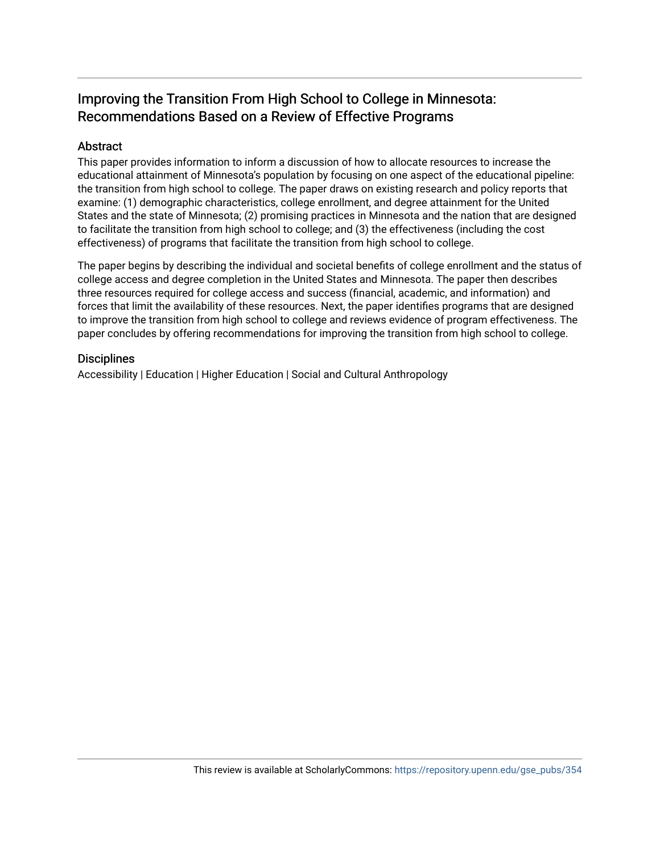# Improving the Transition From High School to College in Minnesota: Recommendations Based on a Review of Effective Programs

# Abstract

This paper provides information to inform a discussion of how to allocate resources to increase the educational attainment of Minnesota's population by focusing on one aspect of the educational pipeline: the transition from high school to college. The paper draws on existing research and policy reports that examine: (1) demographic characteristics, college enrollment, and degree attainment for the United States and the state of Minnesota; (2) promising practices in Minnesota and the nation that are designed to facilitate the transition from high school to college; and (3) the effectiveness (including the cost effectiveness) of programs that facilitate the transition from high school to college.

The paper begins by describing the individual and societal benefits of college enrollment and the status of college access and degree completion in the United States and Minnesota. The paper then describes three resources required for college access and success (financial, academic, and information) and forces that limit the availability of these resources. Next, the paper identifies programs that are designed to improve the transition from high school to college and reviews evidence of program effectiveness. The paper concludes by offering recommendations for improving the transition from high school to college.

### **Disciplines**

Accessibility | Education | Higher Education | Social and Cultural Anthropology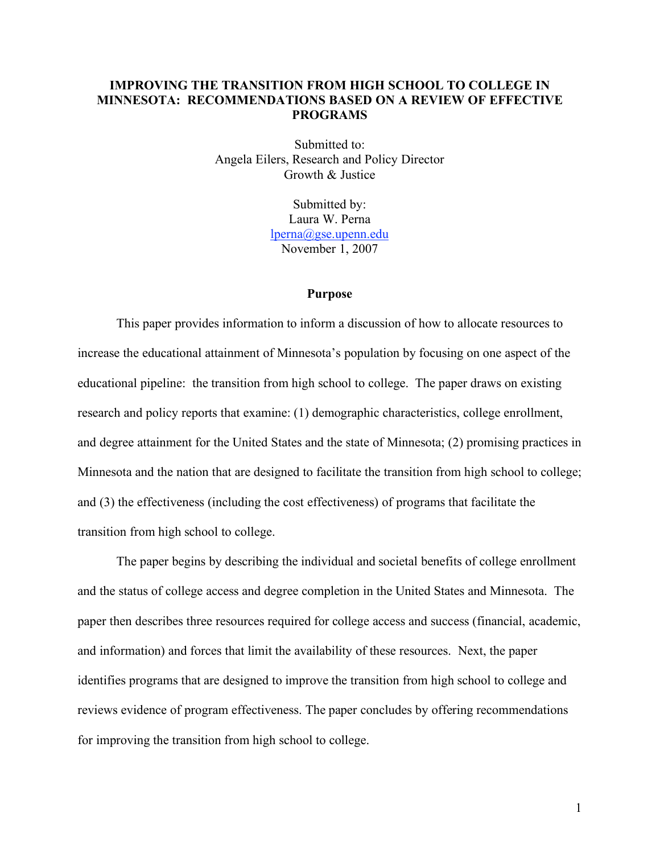# **IMPROVING THE TRANSITION FROM HIGH SCHOOL TO COLLEGE IN MINNESOTA: RECOMMENDATIONS BASED ON A REVIEW OF EFFECTIVE PROGRAMS**

Submitted to: Angela Eilers, Research and Policy Director Growth & Justice

> Submitted by: Laura W. Perna lperna@gse.upenn.edu November 1, 2007

#### **Purpose**

This paper provides information to inform a discussion of how to allocate resources to increase the educational attainment of Minnesota's population by focusing on one aspect of the educational pipeline: the transition from high school to college. The paper draws on existing research and policy reports that examine: (1) demographic characteristics, college enrollment, and degree attainment for the United States and the state of Minnesota; (2) promising practices in Minnesota and the nation that are designed to facilitate the transition from high school to college; and (3) the effectiveness (including the cost effectiveness) of programs that facilitate the transition from high school to college.

The paper begins by describing the individual and societal benefits of college enrollment and the status of college access and degree completion in the United States and Minnesota. The paper then describes three resources required for college access and success (financial, academic, and information) and forces that limit the availability of these resources. Next, the paper identifies programs that are designed to improve the transition from high school to college and reviews evidence of program effectiveness. The paper concludes by offering recommendations for improving the transition from high school to college.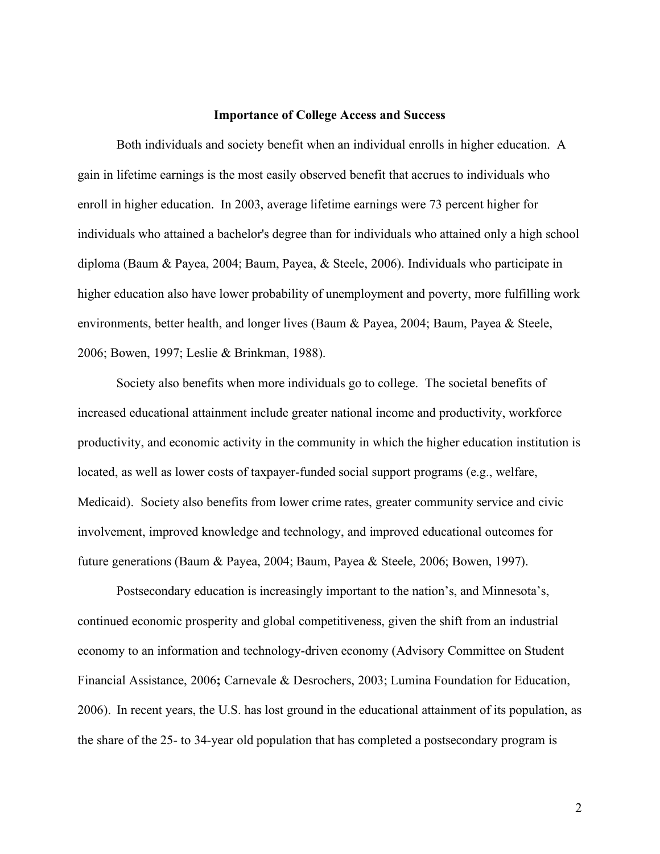#### **Importance of College Access and Success**

Both individuals and society benefit when an individual enrolls in higher education. A gain in lifetime earnings is the most easily observed benefit that accrues to individuals who enroll in higher education. In 2003, average lifetime earnings were 73 percent higher for individuals who attained a bachelor's degree than for individuals who attained only a high school diploma (Baum & Payea, 2004; Baum, Payea, & Steele, 2006). Individuals who participate in higher education also have lower probability of unemployment and poverty, more fulfilling work environments, better health, and longer lives (Baum & Payea, 2004; Baum, Payea & Steele, 2006; Bowen, 1997; Leslie & Brinkman, 1988).

Society also benefits when more individuals go to college. The societal benefits of increased educational attainment include greater national income and productivity, workforce productivity, and economic activity in the community in which the higher education institution is located, as well as lower costs of taxpayer-funded social support programs (e.g., welfare, Medicaid). Society also benefits from lower crime rates, greater community service and civic involvement, improved knowledge and technology, and improved educational outcomes for future generations (Baum & Payea, 2004; Baum, Payea & Steele, 2006; Bowen, 1997).

Postsecondary education is increasingly important to the nation's, and Minnesota's, continued economic prosperity and global competitiveness, given the shift from an industrial economy to an information and technology-driven economy (Advisory Committee on Student Financial Assistance, 2006**;** Carnevale & Desrochers, 2003; Lumina Foundation for Education, 2006). In recent years, the U.S. has lost ground in the educational attainment of its population, as the share of the 25- to 34-year old population that has completed a postsecondary program is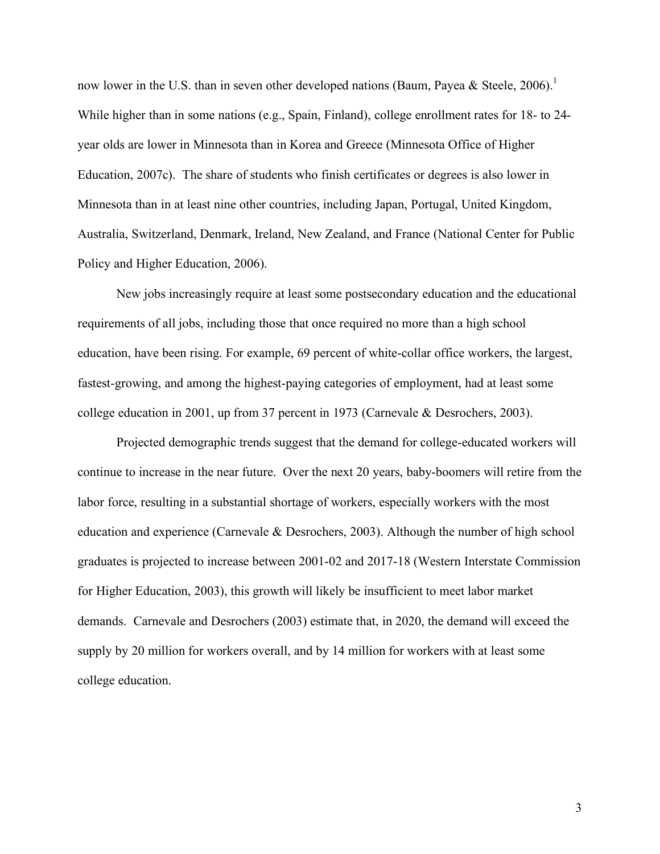now lower in the U.S. than in seven other developed nations (Baum, Payea & Steele, 2006).<sup>1</sup> While higher than in some nations (e.g., Spain, Finland), college enrollment rates for 18- to 24 year olds are lower in Minnesota than in Korea and Greece (Minnesota Office of Higher Education, 2007c). The share of students who finish certificates or degrees is also lower in Minnesota than in at least nine other countries, including Japan, Portugal, United Kingdom, Australia, Switzerland, Denmark, Ireland, New Zealand, and France (National Center for Public Policy and Higher Education, 2006).

New jobs increasingly require at least some postsecondary education and the educational requirements of all jobs, including those that once required no more than a high school education, have been rising. For example, 69 percent of white-collar office workers, the largest, fastest-growing, and among the highest-paying categories of employment, had at least some college education in 2001, up from 37 percent in 1973 (Carnevale & Desrochers, 2003).

Projected demographic trends suggest that the demand for college-educated workers will continue to increase in the near future. Over the next 20 years, baby-boomers will retire from the labor force, resulting in a substantial shortage of workers, especially workers with the most education and experience (Carnevale & Desrochers, 2003). Although the number of high school graduates is projected to increase between 2001-02 and 2017-18 (Western Interstate Commission for Higher Education, 2003), this growth will likely be insufficient to meet labor market demands. Carnevale and Desrochers (2003) estimate that, in 2020, the demand will exceed the supply by 20 million for workers overall, and by 14 million for workers with at least some college education.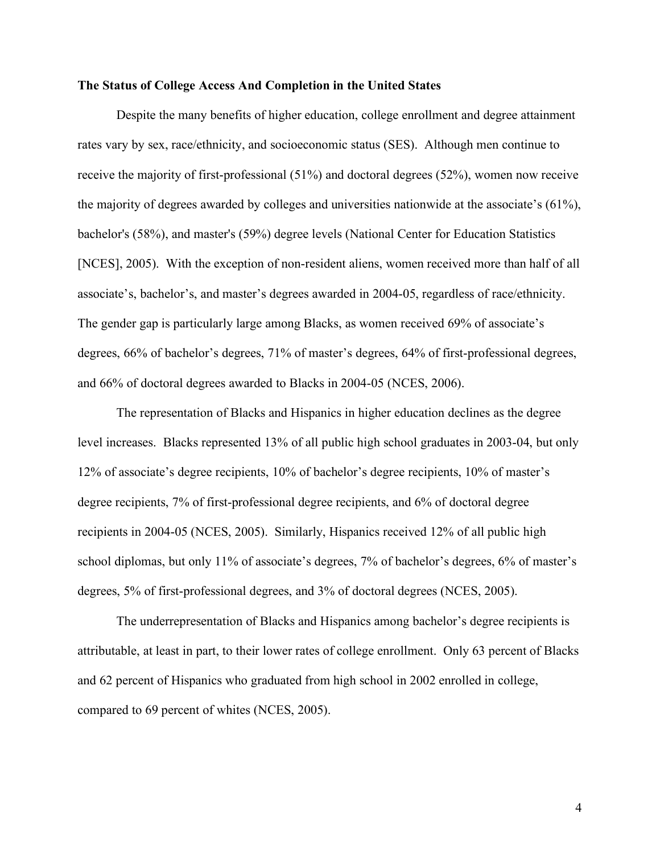#### **The Status of College Access And Completion in the United States**

Despite the many benefits of higher education, college enrollment and degree attainment rates vary by sex, race/ethnicity, and socioeconomic status (SES). Although men continue to receive the majority of first-professional (51%) and doctoral degrees (52%), women now receive the majority of degrees awarded by colleges and universities nationwide at the associate's (61%), bachelor's (58%), and master's (59%) degree levels (National Center for Education Statistics [NCES], 2005). With the exception of non-resident aliens, women received more than half of all associate's, bachelor's, and master's degrees awarded in 2004-05, regardless of race/ethnicity. The gender gap is particularly large among Blacks, as women received 69% of associate's degrees, 66% of bachelor's degrees, 71% of master's degrees, 64% of first-professional degrees, and 66% of doctoral degrees awarded to Blacks in 2004-05 (NCES, 2006).

The representation of Blacks and Hispanics in higher education declines as the degree level increases. Blacks represented 13% of all public high school graduates in 2003-04, but only 12% of associate's degree recipients, 10% of bachelor's degree recipients, 10% of master's degree recipients, 7% of first-professional degree recipients, and 6% of doctoral degree recipients in 2004-05 (NCES, 2005). Similarly, Hispanics received 12% of all public high school diplomas, but only 11% of associate's degrees, 7% of bachelor's degrees, 6% of master's degrees, 5% of first-professional degrees, and 3% of doctoral degrees (NCES, 2005).

The underrepresentation of Blacks and Hispanics among bachelor's degree recipients is attributable, at least in part, to their lower rates of college enrollment. Only 63 percent of Blacks and 62 percent of Hispanics who graduated from high school in 2002 enrolled in college, compared to 69 percent of whites (NCES, 2005).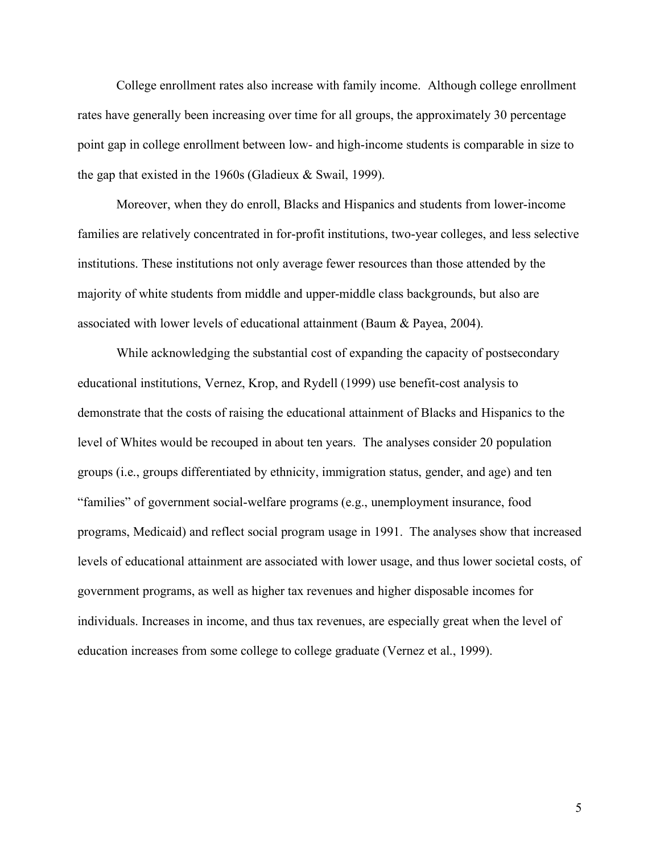College enrollment rates also increase with family income. Although college enrollment rates have generally been increasing over time for all groups, the approximately 30 percentage point gap in college enrollment between low- and high-income students is comparable in size to the gap that existed in the 1960s (Gladieux & Swail, 1999).

Moreover, when they do enroll, Blacks and Hispanics and students from lower-income families are relatively concentrated in for-profit institutions, two-year colleges, and less selective institutions. These institutions not only average fewer resources than those attended by the majority of white students from middle and upper-middle class backgrounds, but also are associated with lower levels of educational attainment (Baum & Payea, 2004).

While acknowledging the substantial cost of expanding the capacity of postsecondary educational institutions, Vernez, Krop, and Rydell (1999) use benefit-cost analysis to demonstrate that the costs of raising the educational attainment of Blacks and Hispanics to the level of Whites would be recouped in about ten years. The analyses consider 20 population groups (i.e., groups differentiated by ethnicity, immigration status, gender, and age) and ten "families" of government social-welfare programs (e.g., unemployment insurance, food programs, Medicaid) and reflect social program usage in 1991. The analyses show that increased levels of educational attainment are associated with lower usage, and thus lower societal costs, of government programs, as well as higher tax revenues and higher disposable incomes for individuals. Increases in income, and thus tax revenues, are especially great when the level of education increases from some college to college graduate (Vernez et al., 1999).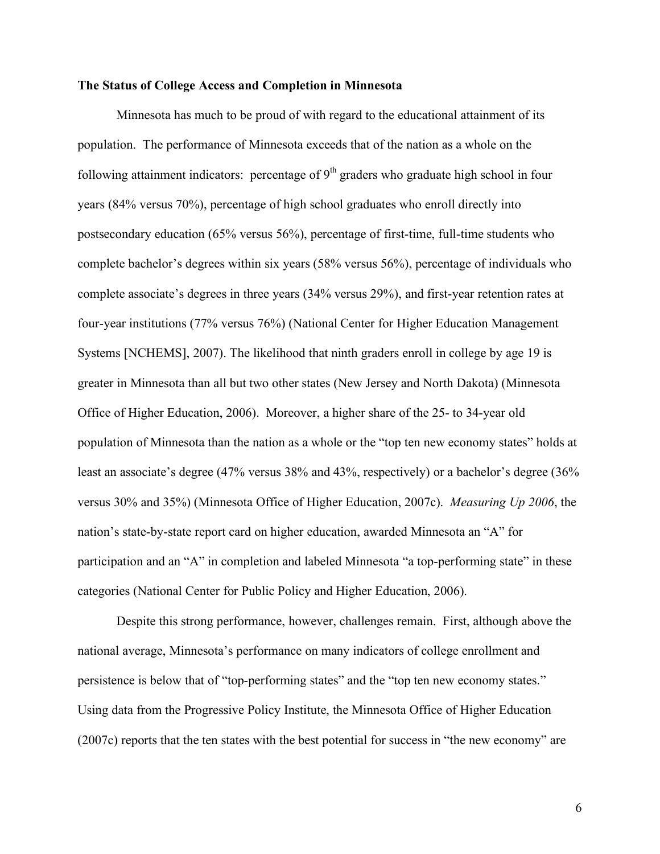#### **The Status of College Access and Completion in Minnesota**

Minnesota has much to be proud of with regard to the educational attainment of its population. The performance of Minnesota exceeds that of the nation as a whole on the following attainment indicators: percentage of  $9<sup>th</sup>$  graders who graduate high school in four years (84% versus 70%), percentage of high school graduates who enroll directly into postsecondary education (65% versus 56%), percentage of first-time, full-time students who complete bachelor's degrees within six years (58% versus 56%), percentage of individuals who complete associate's degrees in three years (34% versus 29%), and first-year retention rates at four-year institutions (77% versus 76%) (National Center for Higher Education Management Systems [NCHEMS], 2007). The likelihood that ninth graders enroll in college by age 19 is greater in Minnesota than all but two other states (New Jersey and North Dakota) (Minnesota Office of Higher Education, 2006). Moreover, a higher share of the 25- to 34-year old population of Minnesota than the nation as a whole or the "top ten new economy states" holds at least an associate's degree (47% versus 38% and 43%, respectively) or a bachelor's degree (36% versus 30% and 35%) (Minnesota Office of Higher Education, 2007c). *Measuring Up 2006*, the nation's state-by-state report card on higher education, awarded Minnesota an "A" for participation and an "A" in completion and labeled Minnesota "a top-performing state" in these categories (National Center for Public Policy and Higher Education, 2006).

Despite this strong performance, however, challenges remain. First, although above the national average, Minnesota's performance on many indicators of college enrollment and persistence is below that of "top-performing states" and the "top ten new economy states." Using data from the Progressive Policy Institute, the Minnesota Office of Higher Education (2007c) reports that the ten states with the best potential for success in "the new economy" are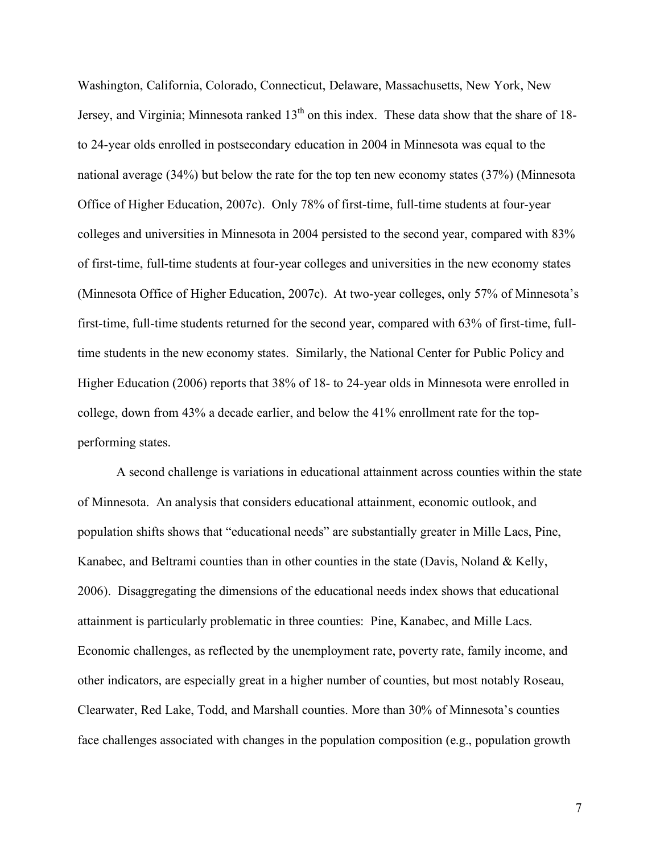Washington, California, Colorado, Connecticut, Delaware, Massachusetts, New York, New Jersey, and Virginia; Minnesota ranked  $13<sup>th</sup>$  on this index. These data show that the share of 18to 24-year olds enrolled in postsecondary education in 2004 in Minnesota was equal to the national average (34%) but below the rate for the top ten new economy states (37%) (Minnesota Office of Higher Education, 2007c). Only 78% of first-time, full-time students at four-year colleges and universities in Minnesota in 2004 persisted to the second year, compared with 83% of first-time, full-time students at four-year colleges and universities in the new economy states (Minnesota Office of Higher Education, 2007c). At two-year colleges, only 57% of Minnesota's first-time, full-time students returned for the second year, compared with 63% of first-time, fulltime students in the new economy states. Similarly, the National Center for Public Policy and Higher Education (2006) reports that 38% of 18- to 24-year olds in Minnesota were enrolled in college, down from 43% a decade earlier, and below the 41% enrollment rate for the topperforming states.

A second challenge is variations in educational attainment across counties within the state of Minnesota. An analysis that considers educational attainment, economic outlook, and population shifts shows that "educational needs" are substantially greater in Mille Lacs, Pine, Kanabec, and Beltrami counties than in other counties in the state (Davis, Noland & Kelly, 2006). Disaggregating the dimensions of the educational needs index shows that educational attainment is particularly problematic in three counties: Pine, Kanabec, and Mille Lacs. Economic challenges, as reflected by the unemployment rate, poverty rate, family income, and other indicators, are especially great in a higher number of counties, but most notably Roseau, Clearwater, Red Lake, Todd, and Marshall counties. More than 30% of Minnesota's counties face challenges associated with changes in the population composition (e.g., population growth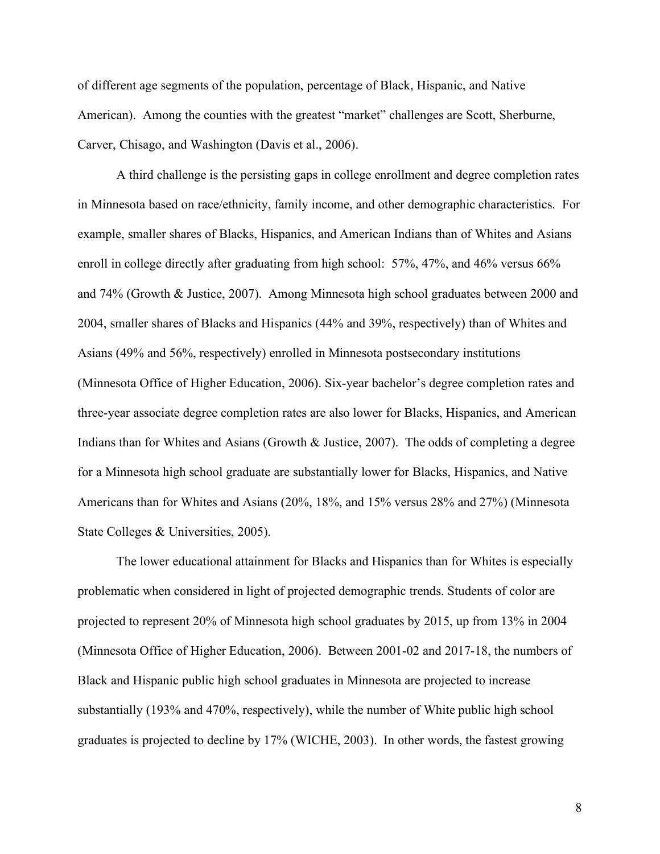of different age segments of the population, percentage of Black, Hispanic, and Native American). Among the counties with the greatest "market" challenges are Scott, Sherburne, Carver, Chisago, and Washington (Davis et al., 2006).

A third challenge is the persisting gaps in college enrollment and degree completion rates in Minnesota based on race/ethnicity, family income, and other demographic characteristics. For example, smaller shares of Blacks, Hispanics, and American Indians than of Whites and Asians enroll in college directly after graduating from high school: 57%, 47%, and 46% versus 66% and 74% (Growth & Justice, 2007). Among Minnesota high school graduates between 2000 and 2004, smaller shares of Blacks and Hispanics (44% and 39%, respectively) than of Whites and Asians (49% and 56%, respectively) enrolled in Minnesota postsecondary institutions (Minnesota Office of Higher Education, 2006). Six-year bachelor's degree completion rates and three-year associate degree completion rates are also lower for Blacks, Hispanics, and American Indians than for Whites and Asians (Growth & Justice, 2007). The odds of completing a degree for a Minnesota high school graduate are substantially lower for Blacks, Hispanics, and Native Americans than for Whites and Asians (20%, 18%, and 15% versus 28% and 27%) (Minnesota State Colleges & Universities, 2005).

The lower educational attainment for Blacks and Hispanics than for Whites is especially problematic when considered in light of projected demographic trends. Students of color are projected to represent 20% of Minnesota high school graduates by 2015, up from 13% in 2004 (Minnesota Office of Higher Education, 2006). Between 2001-02 and 2017-18, the numbers of Black and Hispanic public high school graduates in Minnesota are projected to increase substantially (193% and 470%, respectively), while the number of White public high school graduates is projected to decline by 17% (WICHE, 2003). In other words, the fastest growing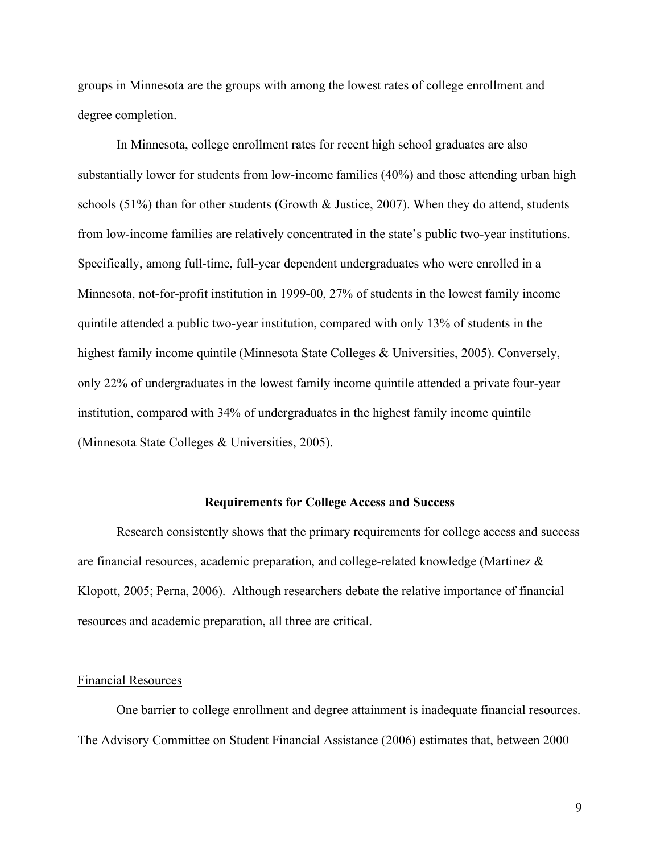groups in Minnesota are the groups with among the lowest rates of college enrollment and degree completion.

In Minnesota, college enrollment rates for recent high school graduates are also substantially lower for students from low-income families (40%) and those attending urban high schools (51%) than for other students (Growth  $\&$  Justice, 2007). When they do attend, students from low-income families are relatively concentrated in the state's public two-year institutions. Specifically, among full-time, full-year dependent undergraduates who were enrolled in a Minnesota, not-for-profit institution in 1999-00, 27% of students in the lowest family income quintile attended a public two-year institution, compared with only 13% of students in the highest family income quintile (Minnesota State Colleges & Universities, 2005). Conversely, only 22% of undergraduates in the lowest family income quintile attended a private four-year institution, compared with 34% of undergraduates in the highest family income quintile (Minnesota State Colleges & Universities, 2005).

#### **Requirements for College Access and Success**

Research consistently shows that the primary requirements for college access and success are financial resources, academic preparation, and college-related knowledge (Martinez & Klopott, 2005; Perna, 2006). Although researchers debate the relative importance of financial resources and academic preparation, all three are critical.

#### Financial Resources

One barrier to college enrollment and degree attainment is inadequate financial resources. The Advisory Committee on Student Financial Assistance (2006) estimates that, between 2000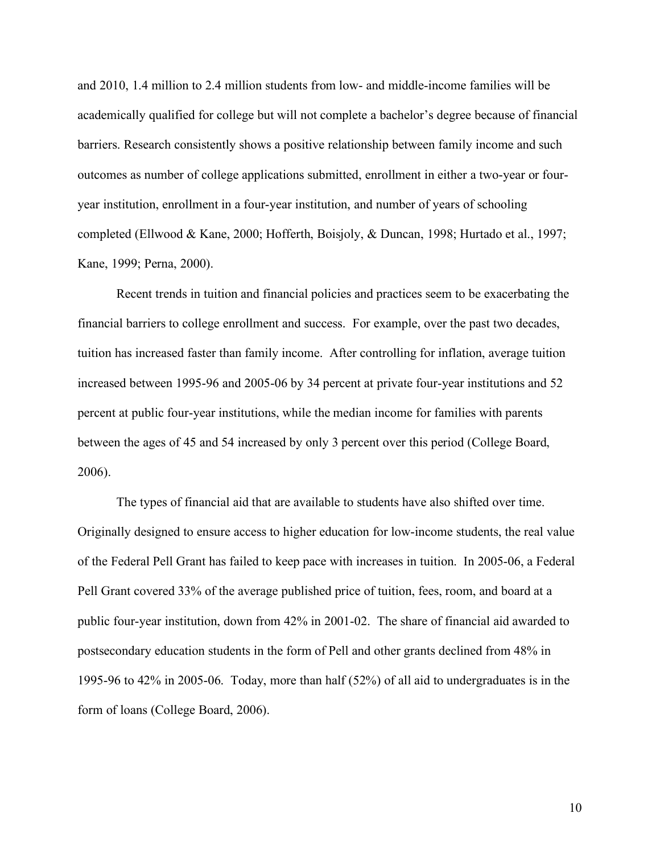and 2010, 1.4 million to 2.4 million students from low- and middle-income families will be academically qualified for college but will not complete a bachelor's degree because of financial barriers. Research consistently shows a positive relationship between family income and such outcomes as number of college applications submitted, enrollment in either a two-year or fouryear institution, enrollment in a four-year institution, and number of years of schooling completed (Ellwood & Kane, 2000; Hofferth, Boisjoly, & Duncan, 1998; Hurtado et al., 1997; Kane, 1999; Perna, 2000).

Recent trends in tuition and financial policies and practices seem to be exacerbating the financial barriers to college enrollment and success. For example, over the past two decades, tuition has increased faster than family income. After controlling for inflation, average tuition increased between 1995-96 and 2005-06 by 34 percent at private four-year institutions and 52 percent at public four-year institutions, while the median income for families with parents between the ages of 45 and 54 increased by only 3 percent over this period (College Board, 2006).

The types of financial aid that are available to students have also shifted over time. Originally designed to ensure access to higher education for low-income students, the real value of the Federal Pell Grant has failed to keep pace with increases in tuition. In 2005-06, a Federal Pell Grant covered 33% of the average published price of tuition, fees, room, and board at a public four-year institution, down from 42% in 2001-02. The share of financial aid awarded to postsecondary education students in the form of Pell and other grants declined from 48% in 1995-96 to 42% in 2005-06. Today, more than half (52%) of all aid to undergraduates is in the form of loans (College Board, 2006).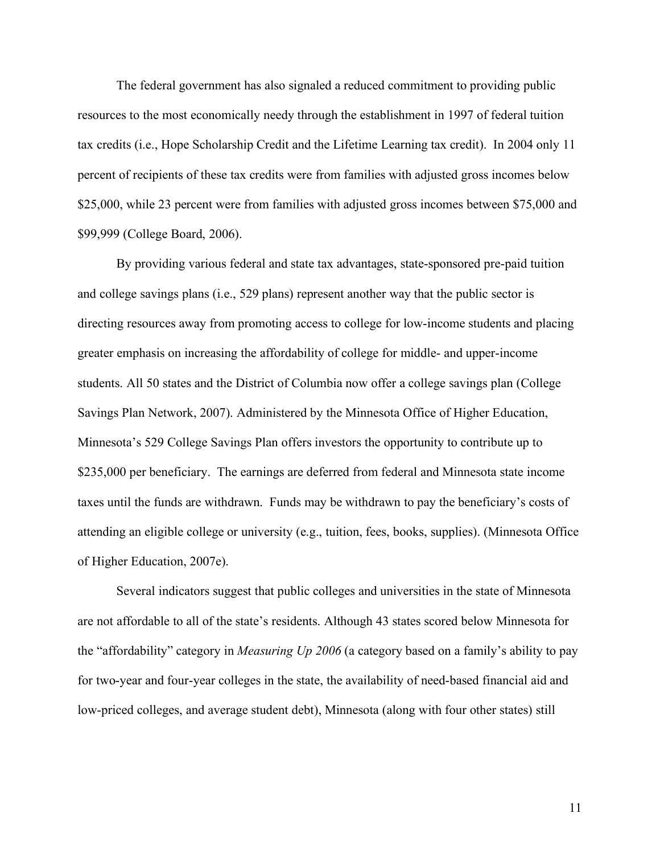The federal government has also signaled a reduced commitment to providing public resources to the most economically needy through the establishment in 1997 of federal tuition tax credits (i.e., Hope Scholarship Credit and the Lifetime Learning tax credit). In 2004 only 11 percent of recipients of these tax credits were from families with adjusted gross incomes below \$25,000, while 23 percent were from families with adjusted gross incomes between \$75,000 and \$99,999 (College Board, 2006).

By providing various federal and state tax advantages, state-sponsored pre-paid tuition and college savings plans (i.e., 529 plans) represent another way that the public sector is directing resources away from promoting access to college for low-income students and placing greater emphasis on increasing the affordability of college for middle- and upper-income students. All 50 states and the District of Columbia now offer a college savings plan (College Savings Plan Network, 2007). Administered by the Minnesota Office of Higher Education, Minnesota's 529 College Savings Plan offers investors the opportunity to contribute up to \$235,000 per beneficiary. The earnings are deferred from federal and Minnesota state income taxes until the funds are withdrawn. Funds may be withdrawn to pay the beneficiary's costs of attending an eligible college or university (e.g., tuition, fees, books, supplies). (Minnesota Office of Higher Education, 2007e).

Several indicators suggest that public colleges and universities in the state of Minnesota are not affordable to all of the state's residents. Although 43 states scored below Minnesota for the "affordability" category in *Measuring Up 2006* (a category based on a family's ability to pay for two-year and four-year colleges in the state, the availability of need-based financial aid and low-priced colleges, and average student debt), Minnesota (along with four other states) still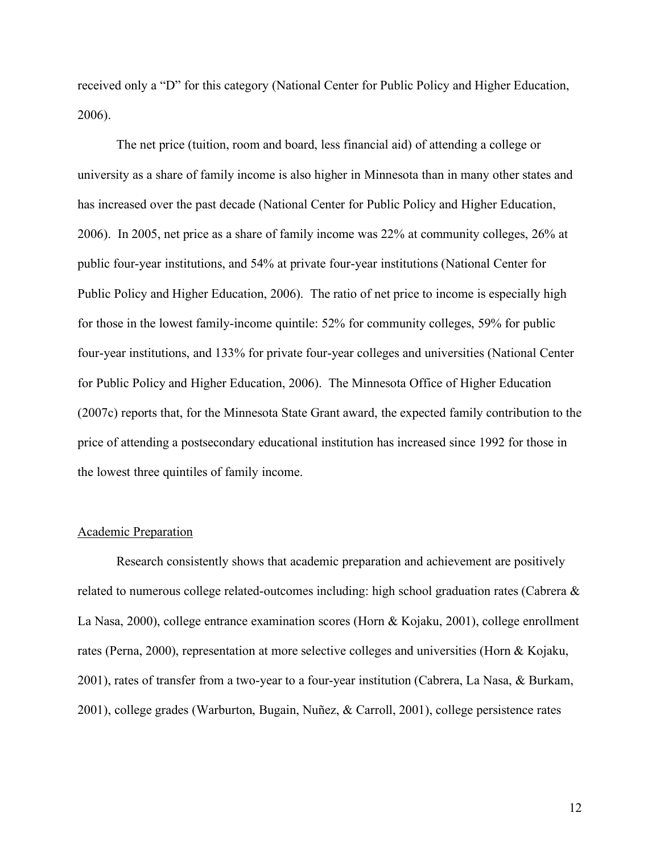received only a "D" for this category (National Center for Public Policy and Higher Education, 2006).

The net price (tuition, room and board, less financial aid) of attending a college or university as a share of family income is also higher in Minnesota than in many other states and has increased over the past decade (National Center for Public Policy and Higher Education, 2006). In 2005, net price as a share of family income was 22% at community colleges, 26% at public four-year institutions, and 54% at private four-year institutions (National Center for Public Policy and Higher Education, 2006). The ratio of net price to income is especially high for those in the lowest family-income quintile: 52% for community colleges, 59% for public four-year institutions, and 133% for private four-year colleges and universities (National Center for Public Policy and Higher Education, 2006). The Minnesota Office of Higher Education (2007c) reports that, for the Minnesota State Grant award, the expected family contribution to the price of attending a postsecondary educational institution has increased since 1992 for those in the lowest three quintiles of family income.

#### Academic Preparation

Research consistently shows that academic preparation and achievement are positively related to numerous college related-outcomes including: high school graduation rates (Cabrera & La Nasa, 2000), college entrance examination scores (Horn & Kojaku, 2001), college enrollment rates (Perna, 2000), representation at more selective colleges and universities (Horn & Kojaku, 2001), rates of transfer from a two-year to a four-year institution (Cabrera, La Nasa, & Burkam, 2001), college grades (Warburton, Bugain, Nuñez, & Carroll, 2001), college persistence rates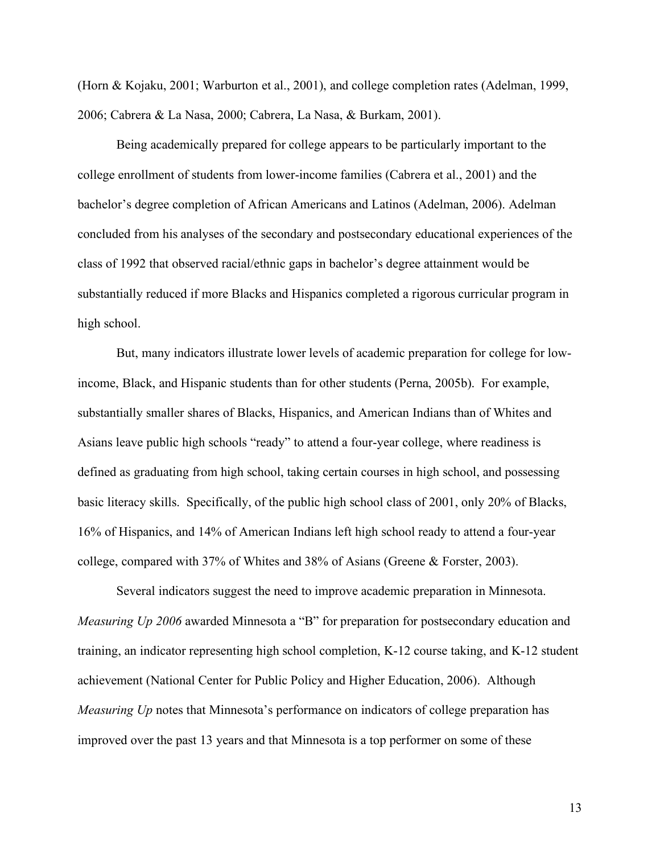(Horn & Kojaku, 2001; Warburton et al., 2001), and college completion rates (Adelman, 1999, 2006; Cabrera & La Nasa, 2000; Cabrera, La Nasa, & Burkam, 2001).

Being academically prepared for college appears to be particularly important to the college enrollment of students from lower-income families (Cabrera et al., 2001) and the bachelor's degree completion of African Americans and Latinos (Adelman, 2006). Adelman concluded from his analyses of the secondary and postsecondary educational experiences of the class of 1992 that observed racial/ethnic gaps in bachelor's degree attainment would be substantially reduced if more Blacks and Hispanics completed a rigorous curricular program in high school.

But, many indicators illustrate lower levels of academic preparation for college for lowincome, Black, and Hispanic students than for other students (Perna, 2005b). For example, substantially smaller shares of Blacks, Hispanics, and American Indians than of Whites and Asians leave public high schools "ready" to attend a four-year college, where readiness is defined as graduating from high school, taking certain courses in high school, and possessing basic literacy skills. Specifically, of the public high school class of 2001, only 20% of Blacks, 16% of Hispanics, and 14% of American Indians left high school ready to attend a four-year college, compared with 37% of Whites and 38% of Asians (Greene & Forster, 2003).

Several indicators suggest the need to improve academic preparation in Minnesota. *Measuring Up 2006* awarded Minnesota a "B" for preparation for postsecondary education and training, an indicator representing high school completion, K-12 course taking, and K-12 student achievement (National Center for Public Policy and Higher Education, 2006). Although *Measuring Up* notes that Minnesota's performance on indicators of college preparation has improved over the past 13 years and that Minnesota is a top performer on some of these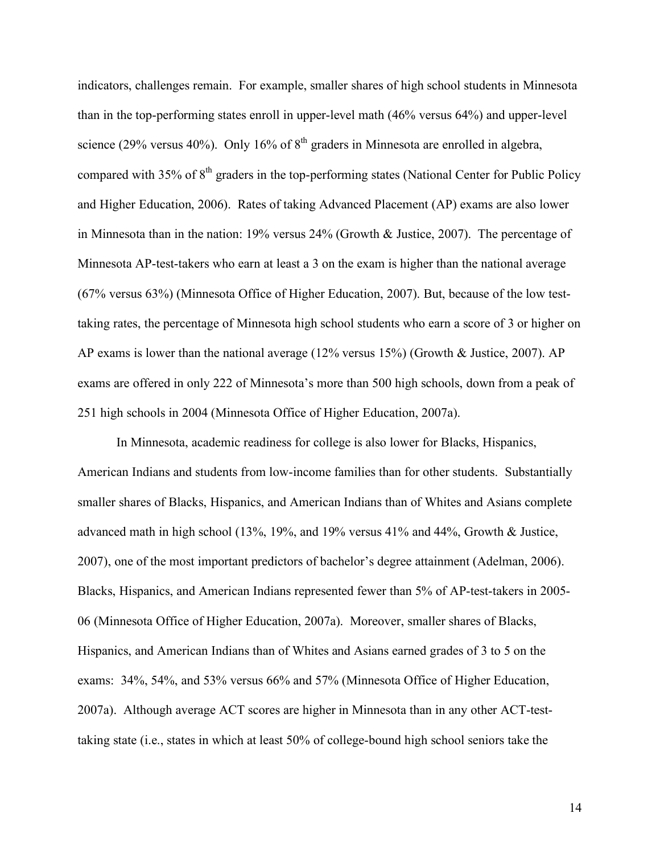indicators, challenges remain. For example, smaller shares of high school students in Minnesota than in the top-performing states enroll in upper-level math (46% versus 64%) and upper-level science (29% versus 40%). Only 16% of  $8<sup>th</sup>$  graders in Minnesota are enrolled in algebra, compared with 35% of  $8<sup>th</sup>$  graders in the top-performing states (National Center for Public Policy and Higher Education, 2006). Rates of taking Advanced Placement (AP) exams are also lower in Minnesota than in the nation: 19% versus 24% (Growth & Justice, 2007). The percentage of Minnesota AP-test-takers who earn at least a 3 on the exam is higher than the national average (67% versus 63%) (Minnesota Office of Higher Education, 2007). But, because of the low testtaking rates, the percentage of Minnesota high school students who earn a score of 3 or higher on AP exams is lower than the national average (12% versus 15%) (Growth & Justice, 2007). AP exams are offered in only 222 of Minnesota's more than 500 high schools, down from a peak of 251 high schools in 2004 (Minnesota Office of Higher Education, 2007a).

In Minnesota, academic readiness for college is also lower for Blacks, Hispanics, American Indians and students from low-income families than for other students. Substantially smaller shares of Blacks, Hispanics, and American Indians than of Whites and Asians complete advanced math in high school (13%, 19%, and 19% versus 41% and 44%, Growth & Justice, 2007), one of the most important predictors of bachelor's degree attainment (Adelman, 2006). Blacks, Hispanics, and American Indians represented fewer than 5% of AP-test-takers in 2005- 06 (Minnesota Office of Higher Education, 2007a). Moreover, smaller shares of Blacks, Hispanics, and American Indians than of Whites and Asians earned grades of 3 to 5 on the exams: 34%, 54%, and 53% versus 66% and 57% (Minnesota Office of Higher Education, 2007a). Although average ACT scores are higher in Minnesota than in any other ACT-testtaking state (i.e., states in which at least 50% of college-bound high school seniors take the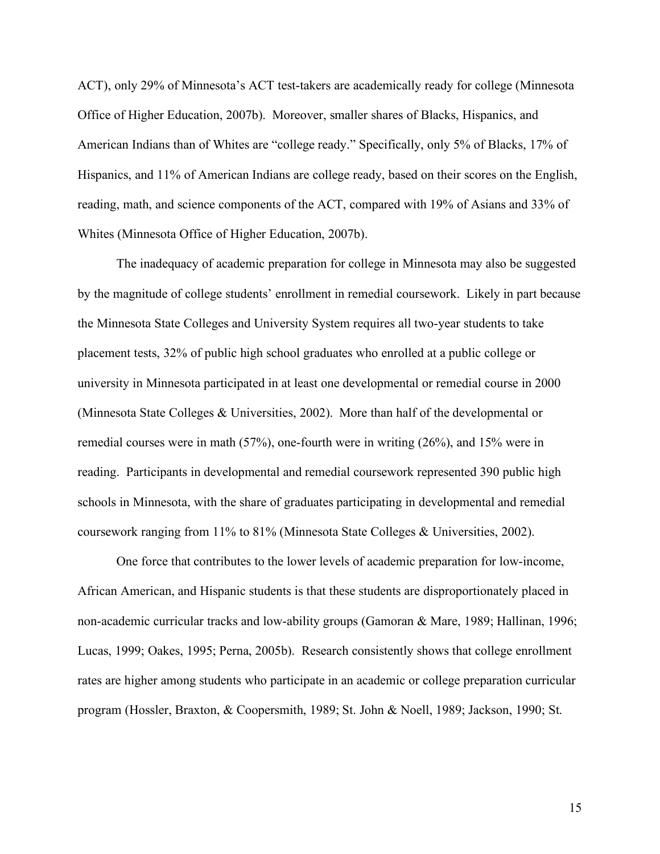ACT), only 29% of Minnesota's ACT test-takers are academically ready for college (Minnesota Office of Higher Education, 2007b). Moreover, smaller shares of Blacks, Hispanics, and American Indians than of Whites are "college ready." Specifically, only 5% of Blacks, 17% of Hispanics, and 11% of American Indians are college ready, based on their scores on the English, reading, math, and science components of the ACT, compared with 19% of Asians and 33% of Whites (Minnesota Office of Higher Education, 2007b).

The inadequacy of academic preparation for college in Minnesota may also be suggested by the magnitude of college students' enrollment in remedial coursework. Likely in part because the Minnesota State Colleges and University System requires all two-year students to take placement tests, 32% of public high school graduates who enrolled at a public college or university in Minnesota participated in at least one developmental or remedial course in 2000 (Minnesota State Colleges & Universities, 2002). More than half of the developmental or remedial courses were in math (57%), one-fourth were in writing (26%), and 15% were in reading. Participants in developmental and remedial coursework represented 390 public high schools in Minnesota, with the share of graduates participating in developmental and remedial coursework ranging from 11% to 81% (Minnesota State Colleges & Universities, 2002).

One force that contributes to the lower levels of academic preparation for low-income, African American, and Hispanic students is that these students are disproportionately placed in non-academic curricular tracks and low-ability groups (Gamoran & Mare, 1989; Hallinan, 1996; Lucas, 1999; Oakes, 1995; Perna, 2005b). Research consistently shows that college enrollment rates are higher among students who participate in an academic or college preparation curricular program (Hossler, Braxton, & Coopersmith, 1989; St. John & Noell, 1989; Jackson, 1990; St.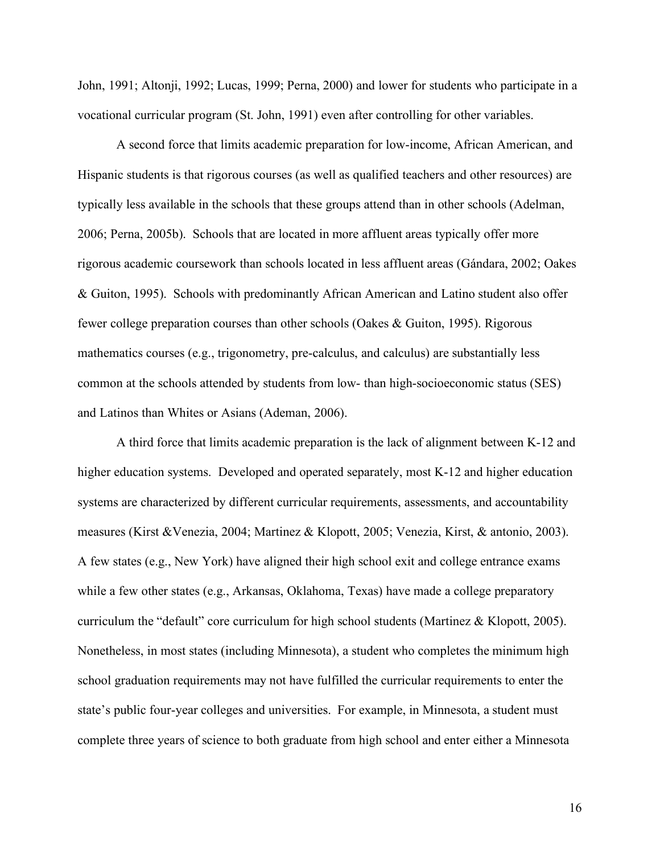John, 1991; Altonji, 1992; Lucas, 1999; Perna, 2000) and lower for students who participate in a vocational curricular program (St. John, 1991) even after controlling for other variables.

A second force that limits academic preparation for low-income, African American, and Hispanic students is that rigorous courses (as well as qualified teachers and other resources) are typically less available in the schools that these groups attend than in other schools (Adelman, 2006; Perna, 2005b). Schools that are located in more affluent areas typically offer more rigorous academic coursework than schools located in less affluent areas (Gándara, 2002; Oakes & Guiton, 1995). Schools with predominantly African American and Latino student also offer fewer college preparation courses than other schools (Oakes & Guiton, 1995). Rigorous mathematics courses (e.g., trigonometry, pre-calculus, and calculus) are substantially less common at the schools attended by students from low- than high-socioeconomic status (SES) and Latinos than Whites or Asians (Ademan, 2006).

A third force that limits academic preparation is the lack of alignment between K-12 and higher education systems. Developed and operated separately, most K-12 and higher education systems are characterized by different curricular requirements, assessments, and accountability measures (Kirst &Venezia, 2004; Martinez & Klopott, 2005; Venezia, Kirst, & antonio, 2003). A few states (e.g., New York) have aligned their high school exit and college entrance exams while a few other states (e.g., Arkansas, Oklahoma, Texas) have made a college preparatory curriculum the "default" core curriculum for high school students (Martinez & Klopott, 2005). Nonetheless, in most states (including Minnesota), a student who completes the minimum high school graduation requirements may not have fulfilled the curricular requirements to enter the state's public four-year colleges and universities. For example, in Minnesota, a student must complete three years of science to both graduate from high school and enter either a Minnesota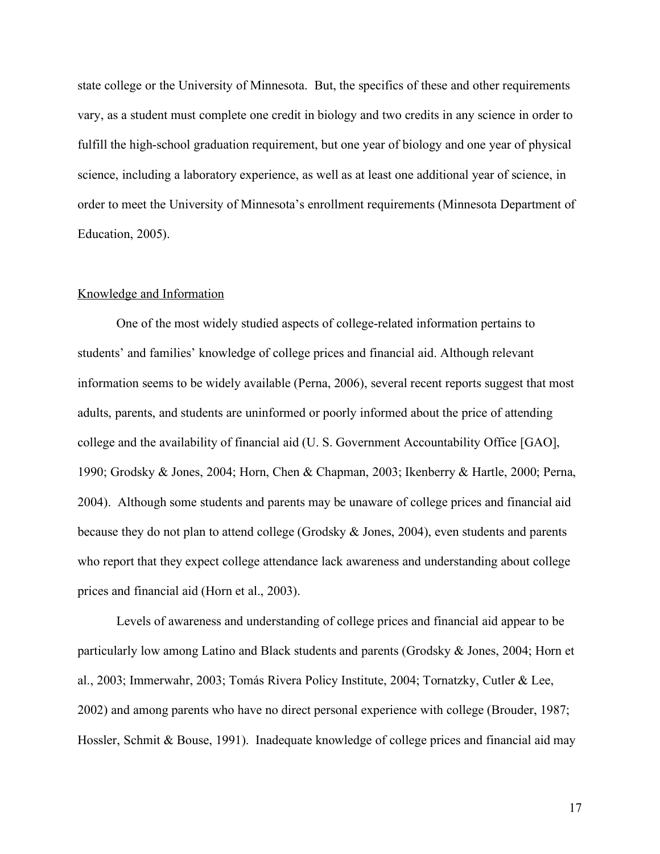state college or the University of Minnesota. But, the specifics of these and other requirements vary, as a student must complete one credit in biology and two credits in any science in order to fulfill the high-school graduation requirement, but one year of biology and one year of physical science, including a laboratory experience, as well as at least one additional year of science, in order to meet the University of Minnesota's enrollment requirements (Minnesota Department of Education, 2005).

#### Knowledge and Information

One of the most widely studied aspects of college-related information pertains to students' and families' knowledge of college prices and financial aid. Although relevant information seems to be widely available (Perna, 2006), several recent reports suggest that most adults, parents, and students are uninformed or poorly informed about the price of attending college and the availability of financial aid (U. S. Government Accountability Office [GAO], 1990; Grodsky & Jones, 2004; Horn, Chen & Chapman, 2003; Ikenberry & Hartle, 2000; Perna, 2004). Although some students and parents may be unaware of college prices and financial aid because they do not plan to attend college (Grodsky  $\&$  Jones, 2004), even students and parents who report that they expect college attendance lack awareness and understanding about college prices and financial aid (Horn et al., 2003).

Levels of awareness and understanding of college prices and financial aid appear to be particularly low among Latino and Black students and parents (Grodsky & Jones, 2004; Horn et al., 2003; Immerwahr, 2003; Tomás Rivera Policy Institute, 2004; Tornatzky, Cutler & Lee, 2002) and among parents who have no direct personal experience with college (Brouder, 1987; Hossler, Schmit & Bouse, 1991). Inadequate knowledge of college prices and financial aid may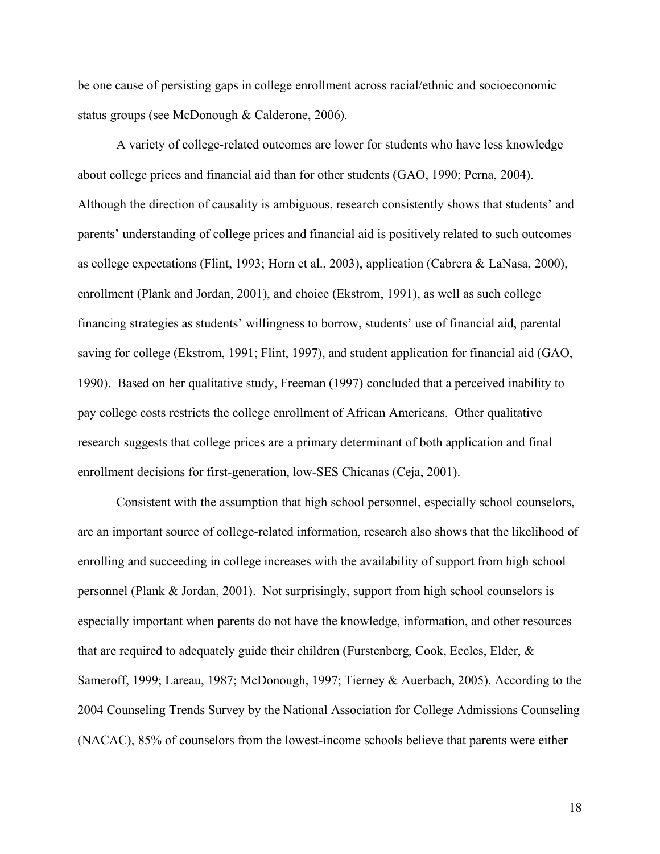be one cause of persisting gaps in college enrollment across racial/ethnic and socioeconomic status groups (see McDonough & Calderone, 2006).

A variety of college-related outcomes are lower for students who have less knowledge about college prices and financial aid than for other students (GAO, 1990; Perna, 2004). Although the direction of causality is ambiguous, research consistently shows that students' and parents' understanding of college prices and financial aid is positively related to such outcomes as college expectations (Flint, 1993; Horn et al., 2003), application (Cabrera & LaNasa, 2000), enrollment (Plank and Jordan, 2001), and choice (Ekstrom, 1991), as well as such college financing strategies as students' willingness to borrow, students' use of financial aid, parental saving for college (Ekstrom, 1991; Flint, 1997), and student application for financial aid (GAO, 1990). Based on her qualitative study, Freeman (1997) concluded that a perceived inability to pay college costs restricts the college enrollment of African Americans. Other qualitative research suggests that college prices are a primary determinant of both application and final enrollment decisions for first-generation, low-SES Chicanas (Ceja, 2001).

Consistent with the assumption that high school personnel, especially school counselors, are an important source of college-related information, research also shows that the likelihood of enrolling and succeeding in college increases with the availability of support from high school personnel (Plank & Jordan, 2001). Not surprisingly, support from high school counselors is especially important when parents do not have the knowledge, information, and other resources that are required to adequately guide their children (Furstenberg, Cook, Eccles, Elder, & Sameroff, 1999; Lareau, 1987; McDonough, 1997; Tierney & Auerbach, 2005). According to the 2004 Counseling Trends Survey by the National Association for College Admissions Counseling (NACAC), 85% of counselors from the lowest-income schools believe that parents were either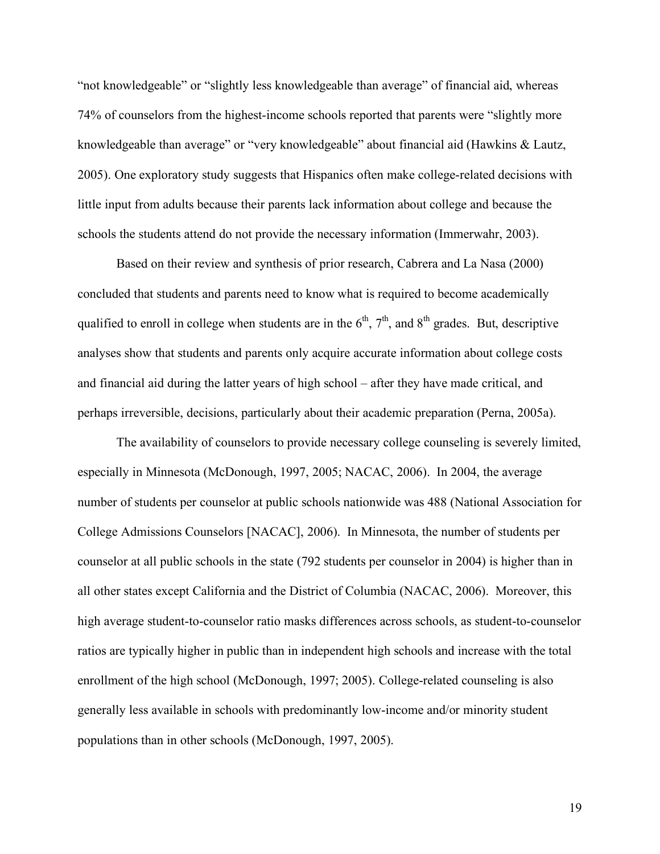"not knowledgeable" or "slightly less knowledgeable than average" of financial aid, whereas 74% of counselors from the highest-income schools reported that parents were "slightly more knowledgeable than average" or "very knowledgeable" about financial aid (Hawkins & Lautz, 2005). One exploratory study suggests that Hispanics often make college-related decisions with little input from adults because their parents lack information about college and because the schools the students attend do not provide the necessary information (Immerwahr, 2003).

Based on their review and synthesis of prior research, Cabrera and La Nasa (2000) concluded that students and parents need to know what is required to become academically qualified to enroll in college when students are in the  $6<sup>th</sup>$ ,  $7<sup>th</sup>$ , and  $8<sup>th</sup>$  grades. But, descriptive analyses show that students and parents only acquire accurate information about college costs and financial aid during the latter years of high school – after they have made critical, and perhaps irreversible, decisions, particularly about their academic preparation (Perna, 2005a).

The availability of counselors to provide necessary college counseling is severely limited, especially in Minnesota (McDonough, 1997, 2005; NACAC, 2006). In 2004, the average number of students per counselor at public schools nationwide was 488 (National Association for College Admissions Counselors [NACAC], 2006). In Minnesota, the number of students per counselor at all public schools in the state (792 students per counselor in 2004) is higher than in all other states except California and the District of Columbia (NACAC, 2006). Moreover, this high average student-to-counselor ratio masks differences across schools, as student-to-counselor ratios are typically higher in public than in independent high schools and increase with the total enrollment of the high school (McDonough, 1997; 2005). College-related counseling is also generally less available in schools with predominantly low-income and/or minority student populations than in other schools (McDonough, 1997, 2005).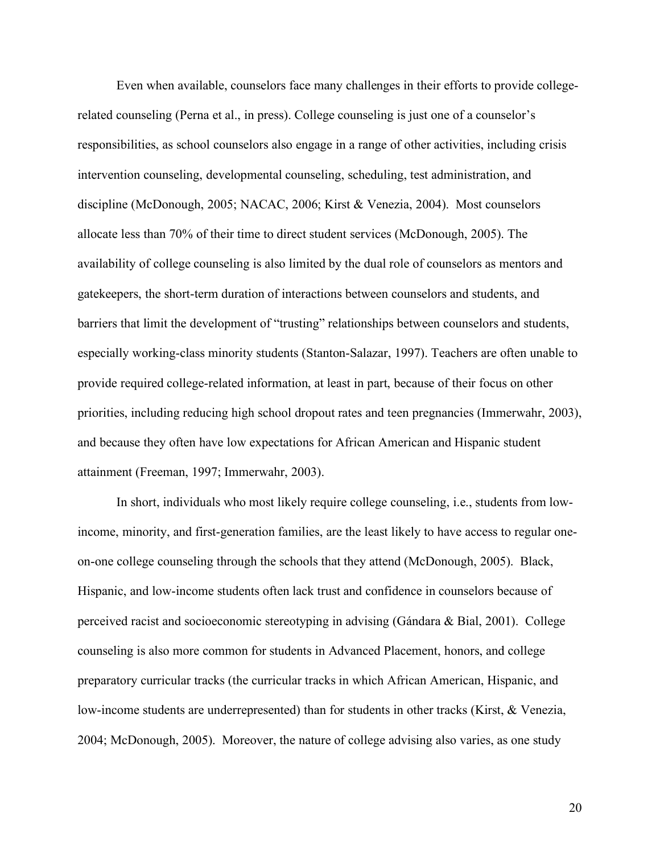Even when available, counselors face many challenges in their efforts to provide collegerelated counseling (Perna et al., in press). College counseling is just one of a counselor's responsibilities, as school counselors also engage in a range of other activities, including crisis intervention counseling, developmental counseling, scheduling, test administration, and discipline (McDonough, 2005; NACAC, 2006; Kirst & Venezia, 2004). Most counselors allocate less than 70% of their time to direct student services (McDonough, 2005). The availability of college counseling is also limited by the dual role of counselors as mentors and gatekeepers, the short-term duration of interactions between counselors and students, and barriers that limit the development of "trusting" relationships between counselors and students, especially working-class minority students (Stanton-Salazar, 1997). Teachers are often unable to provide required college-related information, at least in part, because of their focus on other priorities, including reducing high school dropout rates and teen pregnancies (Immerwahr, 2003), and because they often have low expectations for African American and Hispanic student attainment (Freeman, 1997; Immerwahr, 2003).

In short, individuals who most likely require college counseling, i.e., students from lowincome, minority, and first-generation families, are the least likely to have access to regular oneon-one college counseling through the schools that they attend (McDonough, 2005). Black, Hispanic, and low-income students often lack trust and confidence in counselors because of perceived racist and socioeconomic stereotyping in advising (Gándara & Bial, 2001). College counseling is also more common for students in Advanced Placement, honors, and college preparatory curricular tracks (the curricular tracks in which African American, Hispanic, and low-income students are underrepresented) than for students in other tracks (Kirst, & Venezia, 2004; McDonough, 2005). Moreover, the nature of college advising also varies, as one study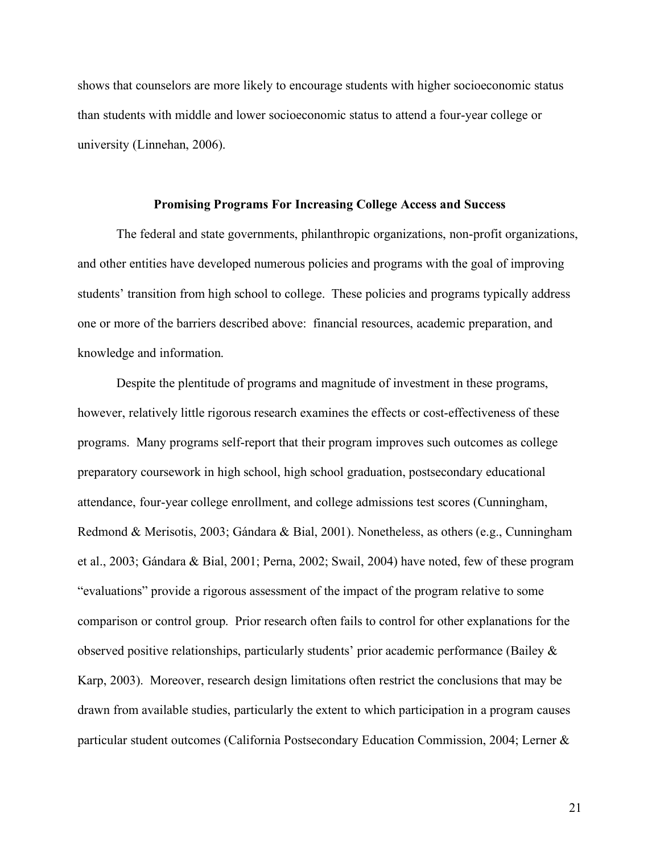shows that counselors are more likely to encourage students with higher socioeconomic status than students with middle and lower socioeconomic status to attend a four-year college or university (Linnehan, 2006).

#### **Promising Programs For Increasing College Access and Success**

The federal and state governments, philanthropic organizations, non-profit organizations, and other entities have developed numerous policies and programs with the goal of improving students' transition from high school to college. These policies and programs typically address one or more of the barriers described above: financial resources, academic preparation, and knowledge and information.

Despite the plentitude of programs and magnitude of investment in these programs, however, relatively little rigorous research examines the effects or cost-effectiveness of these programs. Many programs self-report that their program improves such outcomes as college preparatory coursework in high school, high school graduation, postsecondary educational attendance, four-year college enrollment, and college admissions test scores (Cunningham, Redmond & Merisotis, 2003; Gándara & Bial, 2001). Nonetheless, as others (e.g., Cunningham et al., 2003; Gándara & Bial, 2001; Perna, 2002; Swail, 2004) have noted, few of these program "evaluations" provide a rigorous assessment of the impact of the program relative to some comparison or control group. Prior research often fails to control for other explanations for the observed positive relationships, particularly students' prior academic performance (Bailey & Karp, 2003). Moreover, research design limitations often restrict the conclusions that may be drawn from available studies, particularly the extent to which participation in a program causes particular student outcomes (California Postsecondary Education Commission, 2004; Lerner &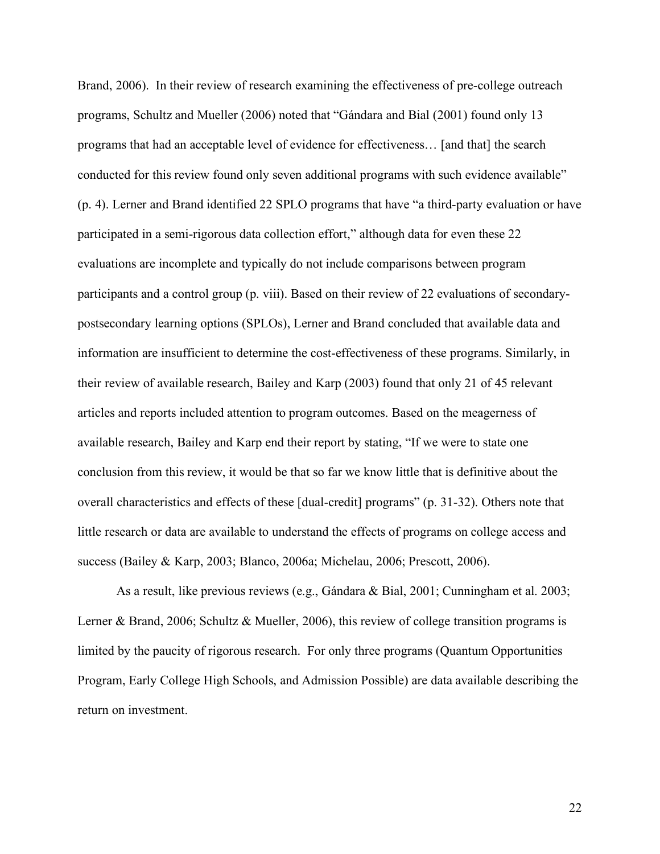Brand, 2006). In their review of research examining the effectiveness of pre-college outreach programs, Schultz and Mueller (2006) noted that "Gándara and Bial (2001) found only 13 programs that had an acceptable level of evidence for effectiveness… [and that] the search conducted for this review found only seven additional programs with such evidence available" (p. 4). Lerner and Brand identified 22 SPLO programs that have "a third-party evaluation or have participated in a semi-rigorous data collection effort," although data for even these 22 evaluations are incomplete and typically do not include comparisons between program participants and a control group (p. viii). Based on their review of 22 evaluations of secondarypostsecondary learning options (SPLOs), Lerner and Brand concluded that available data and information are insufficient to determine the cost-effectiveness of these programs. Similarly, in their review of available research, Bailey and Karp (2003) found that only 21 of 45 relevant articles and reports included attention to program outcomes. Based on the meagerness of available research, Bailey and Karp end their report by stating, "If we were to state one conclusion from this review, it would be that so far we know little that is definitive about the overall characteristics and effects of these [dual-credit] programs" (p. 31-32). Others note that little research or data are available to understand the effects of programs on college access and success (Bailey & Karp, 2003; Blanco, 2006a; Michelau, 2006; Prescott, 2006).

As a result, like previous reviews (e.g., Gándara & Bial, 2001; Cunningham et al. 2003; Lerner & Brand, 2006; Schultz & Mueller, 2006), this review of college transition programs is limited by the paucity of rigorous research. For only three programs (Quantum Opportunities Program, Early College High Schools, and Admission Possible) are data available describing the return on investment.